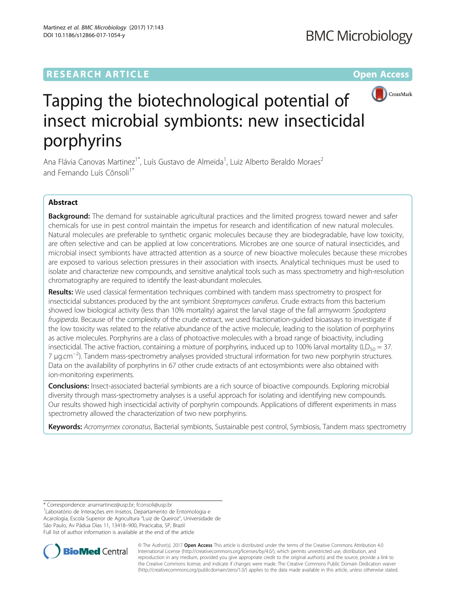# **RESEARCH ARTICLE Example 2014 12:30 The Community Community Community Community Community Community Community**

Martinez et al. BMC Microbiology (2017) 17:143

DOI 10.1186/s12866-017-1054-y



# Tapping the biotechnological potential of insect microbial symbionts: new insecticidal porphyrins

Ana Flávia Canovas Martinez<sup>1\*</sup>, Luís Gustavo de Almeida<sup>1</sup>, Luiz Alberto Beraldo Moraes<sup>2</sup> and Fernando Luís Cônsoli<sup>1\*</sup>

# Abstract

Background: The demand for sustainable agricultural practices and the limited progress toward newer and safer chemicals for use in pest control maintain the impetus for research and identification of new natural molecules. Natural molecules are preferable to synthetic organic molecules because they are biodegradable, have low toxicity, are often selective and can be applied at low concentrations. Microbes are one source of natural insecticides, and microbial insect symbionts have attracted attention as a source of new bioactive molecules because these microbes are exposed to various selection pressures in their association with insects. Analytical techniques must be used to isolate and characterize new compounds, and sensitive analytical tools such as mass spectrometry and high-resolution chromatography are required to identify the least-abundant molecules.

Results: We used classical fermentation techniques combined with tandem mass spectrometry to prospect for insecticidal substances produced by the ant symbiont Streptomyces caniferus. Crude extracts from this bacterium showed low biological activity (less than 10% mortality) against the larval stage of the fall armyworm Spodoptera frugiperda. Because of the complexity of the crude extract, we used fractionation-guided bioassays to investigate if the low toxicity was related to the relative abundance of the active molecule, leading to the isolation of porphyrins as active molecules. Porphyrins are a class of photoactive molecules with a broad range of bioactivity, including insecticidal. The active fraction, containing a mixture of porphyrins, induced up to 100% larval mortality (LD $_{50}$  = 37. 7 μg.cm−<sup>2</sup> ). Tandem mass-spectrometry analyses provided structural information for two new porphyrin structures. Data on the availability of porphyrins in 67 other crude extracts of ant ectosymbionts were also obtained with ion-monitoring experiments.

**Conclusions:** Insect-associated bacterial symbionts are a rich source of bioactive compounds. Exploring microbial diversity through mass-spectrometry analyses is a useful approach for isolating and identifying new compounds. Our results showed high insecticidal activity of porphyrin compounds. Applications of different experiments in mass spectrometry allowed the characterization of two new porphyrins.

Keywords: Acromyrmex coronatus, Bacterial symbionts, Sustainable pest control, Symbiosis, Tandem mass spectrometry

\* Correspondence: [anamartinez@usp.br;](mailto:anamartinez@usp.br) [fconsoli@usp.br](mailto:fconsoli@usp.br) <sup>1</sup>

Laboratório de Interações em Insetos, Departamento de Entomologia e Acarologia, Escola Superior de Agricultura "Luiz de Queiroz", Universidade de São Paulo, Av Pádua Dias 11, 13418–900, Piracicaba, SP, Brazil Full list of author information is available at the end of the article



© The Author(s). 2017 **Open Access** This article is distributed under the terms of the Creative Commons Attribution 4.0 International License [\(http://creativecommons.org/licenses/by/4.0/](http://creativecommons.org/licenses/by/4.0/)), which permits unrestricted use, distribution, and reproduction in any medium, provided you give appropriate credit to the original author(s) and the source, provide a link to the Creative Commons license, and indicate if changes were made. The Creative Commons Public Domain Dedication waiver [\(http://creativecommons.org/publicdomain/zero/1.0/](http://creativecommons.org/publicdomain/zero/1.0/)) applies to the data made available in this article, unless otherwise stated.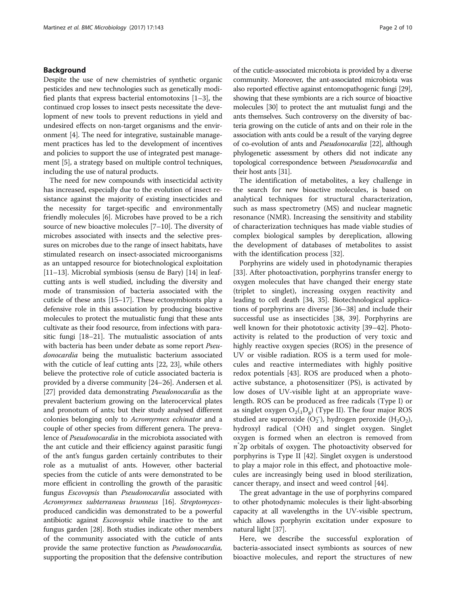# Background

Despite the use of new chemistries of synthetic organic pesticides and new technologies such as genetically modified plants that express bacterial entomotoxins [[1](#page-8-0)–[3](#page-8-0)], the continued crop losses to insect pests necessitate the development of new tools to prevent reductions in yield and undesired effects on non-target organisms and the environment [[4\]](#page-8-0). The need for integrative, sustainable management practices has led to the development of incentives and policies to support the use of integrated pest management [[5](#page-8-0)], a strategy based on multiple control techniques, including the use of natural products.

The need for new compounds with insecticidal activity has increased, especially due to the evolution of insect resistance against the majority of existing insecticides and the necessity for target-specific and environmentally friendly molecules [[6\]](#page-8-0). Microbes have proved to be a rich source of new bioactive molecules [[7](#page-8-0)–[10\]](#page-8-0). The diversity of microbes associated with insects and the selective pressures on microbes due to the range of insect habitats, have stimulated research on insect-associated microorganisms as an untapped resource for biotechnological exploitation [[11](#page-8-0)–[13\]](#page-8-0). Microbial symbiosis (sensu de Bary) [\[14\]](#page-8-0) in leafcutting ants is well studied, including the diversity and mode of transmission of bacteria associated with the cuticle of these ants [[15](#page-8-0)–[17\]](#page-8-0). These ectosymbionts play a defensive role in this association by producing bioactive molecules to protect the mutualistic fungi that these ants cultivate as their food resource, from infections with parasitic fungi [\[18](#page-8-0)–[21](#page-8-0)]. The mutualistic association of ants with bacteria has been under debate as some report Pseudonocardia being the mutualistic bacterium associated with the cuticle of leaf cutting ants [\[22, 23](#page-8-0)], while others believe the protective role of cuticle associated bacteria is provided by a diverse community [[24](#page-8-0)–[26\]](#page-8-0). Andersen et al. [[27](#page-8-0)] provided data demonstrating Pseudonocardia as the prevalent bacterium growing on the laterocervical plates and pronotum of ants; but their study analysed different colonies belonging only to Acromyrmex echinator and a couple of other species from different genera. The prevalence of Pseudonocardia in the microbiota associated with the ant cuticle and their efficiency against parasitic fungi of the ant's fungus garden certainly contributes to their role as a mutualist of ants. However, other bacterial species from the cuticle of ants were demonstrated to be more efficient in controlling the growth of the parasitic fungus Escovopsis than Pseudonocardia associated with Acromyrmex subterraneus brunneus [\[16\]](#page-8-0). Streptomycesproduced candicidin was demonstrated to be a powerful antibiotic against Escovopsis while inactive to the ant fungus garden [\[28\]](#page-8-0). Both studies indicate other members of the community associated with the cuticle of ants provide the same protective function as Pseudonocardia, supporting the proposition that the defensive contribution of the cuticle-associated microbiota is provided by a diverse community. Moreover, the ant-associated microbiota was also reported effective against entomopathogenic fungi [\[29](#page-8-0)], showing that these symbionts are a rich source of bioactive molecules [[30](#page-8-0)] to protect the ant mutualist fungi and the ants themselves. Such controversy on the diversity of bacteria growing on the cuticle of ants and on their role in the association with ants could be a result of the varying degree of co-evolution of ants and Pseudonocardia [\[22](#page-8-0)], although phylogenetic assessment by others did not indicate any topological correspondence between Pseudonocardia and their host ants [[31](#page-8-0)].

The identification of metabolites, a key challenge in the search for new bioactive molecules, is based on analytical techniques for structural characterization, such as mass spectrometry (MS) and nuclear magnetic resonance (NMR). Increasing the sensitivity and stability of characterization techniques has made viable studies of complex biological samples by dereplication, allowing the development of databases of metabolites to assist with the identification process [[32](#page-8-0)].

Porphyrins are widely used in photodynamic therapies [[33\]](#page-8-0). After photoactivation, porphyrins transfer energy to oxygen molecules that have changed their energy state (triplet to singlet), increasing oxygen reactivity and leading to cell death [[34, 35\]](#page-8-0). Biotechnological applications of porphyrins are diverse [[36](#page-8-0)–[38](#page-8-0)] and include their successful use as insecticides [\[38](#page-8-0), [39](#page-8-0)]. Porphyrins are well known for their phototoxic activity [\[39](#page-8-0)–[42](#page-9-0)]. Photoactivity is related to the production of very toxic and highly reactive oxygen species (ROS) in the presence of UV or visible radiation. ROS is a term used for molecules and reactive intermediates with highly positive redox potentials [\[43\]](#page-9-0). ROS are produced when a photoactive substance, a photosensitizer (PS), is activated by low doses of UV-visible light at an appropriate wavelength. ROS can be produced as free radicals (Type I) or as singlet oxygen  $O_2(1D_g)$  (Type II). The four major ROS studied are superoxide (O<sub>2</sub><sup>-</sup>), hydrogen peroxide (H<sub>2</sub>O<sub>2</sub>), hydroxyl radical (OH) and singlet oxygen. Singlet oxygen is formed when an electron is removed from π\* 2p orbitals of oxygen. The photoactivity observed for porphyrins is Type II [[42\]](#page-9-0). Singlet oxygen is understood to play a major role in this effect, and photoactive molecules are increasingly being used in blood sterilization, cancer therapy, and insect and weed control [\[44\]](#page-9-0).

The great advantage in the use of porphyrins compared to other photodynamic molecules is their light-absorbing capacity at all wavelengths in the UV-visible spectrum, which allows porphyrin excitation under exposure to natural light [\[37\]](#page-8-0).

Here, we describe the successful exploration of bacteria-associated insect symbionts as sources of new bioactive molecules, and report the structures of new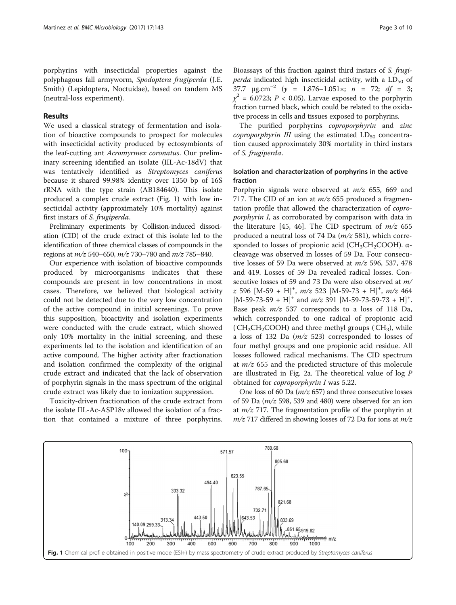porphyrins with insecticidal properties against the polyphagous fall armyworm, Spodoptera frugiperda (J.E. Smith) (Lepidoptera, Noctuidae), based on tandem MS (neutral-loss experiment).

# Results

We used a classical strategy of fermentation and isolation of bioactive compounds to prospect for molecules with insecticidal activity produced by ectosymbionts of the leaf-cutting ant Acromyrmex coronatus. Our preliminary screening identified an isolate (IIL-Ac-18dV) that was tentatively identified as Streptomyces caniferus because it shared 99.98% identity over 1350 bp of 16S rRNA with the type strain (AB184640). This isolate produced a complex crude extract (Fig. 1) with low insecticidal activity (approximately 10% mortality) against first instars of S. frugiperda.

Preliminary experiments by Collision-induced dissociation (CID) of the crude extract of this isolate led to the identification of three chemical classes of compounds in the regions at m/z 540–650, m/z 730–780 and m/z 785–840.

Our experience with isolation of bioactive compounds produced by microorganisms indicates that these compounds are present in low concentrations in most cases. Therefore, we believed that biological activity could not be detected due to the very low concentration of the active compound in initial screenings. To prove this supposition, bioactivity and isolation experiments were conducted with the crude extract, which showed only 10% mortality in the initial screening, and these experiments led to the isolation and identification of an active compound. The higher activity after fractionation and isolation confirmed the complexity of the original crude extract and indicated that the lack of observation of porphyrin signals in the mass spectrum of the original crude extract was likely due to ionization suppression.

Toxicity-driven fractionation of the crude extract from the isolate IIL-Ac-ASP18v allowed the isolation of a fraction that contained a mixture of three porphyrins.

Bioassays of this fraction against third instars of S. frugiperda indicated high insecticidal activity, with a  $LD_{50}$  of 37.7  $\mu$ g.cm<sup>-2</sup> (y = 1.876–1.051×; *n* = 72; *df* = 3;  $\chi^2$  = 6.0723; P < 0.05). Larvae exposed to the porphyrin fraction turned black, which could be related to the oxidative process in cells and tissues exposed to porphyrins.

The purified porphyrins coproporphyrin and zinc *coproporphyrin III* using the estimated  $LD_{50}$  concentration caused approximately 30% mortality in third instars of S. frugiperda.

# Isolation and characterization of porphyrins in the active fraction

Porphyrin signals were observed at  $m/z$  655, 669 and 717. The CID of an ion at  $m/z$  655 produced a fragmentation profile that allowed the characterization of coproporphyrin I, as corroborated by comparison with data in the literature [[45, 46](#page-9-0)]. The CID spectrum of  $m/z$  655 produced a neutral loss of 74 Da  $(m/z 581)$ , which corresponded to losses of propionic acid ( $CH<sub>3</sub>CH<sub>2</sub>COOH$ ).  $\alpha$ cleavage was observed in losses of 59 Da. Four consecutive losses of 59 Da were observed at  $m/z$  596, 537, 478 and 419. Losses of 59 Da revealed radical losses. Consecutive losses of 59 and 73 Da were also observed at m/  $z$  596 [M-59 + H]<sup>+</sup>,  $m/z$  523 [M-59-73 + H]<sup>+</sup>,  $m/z$  464  $[M-59-73-59 + H]^+$  and  $m/z$  391  $[M-59-73-59-73 + H]^+$ . Base peak  $m/z$  537 corresponds to a loss of 118 Da, which corresponded to one radical of propionic acid (CH<sub>2</sub>CH<sub>2</sub>COOH) and three methyl groups (CH<sub>3</sub>), while a loss of 132 Da  $(m/z 523)$  corresponded to losses of four methyl groups and one propionic acid residue. All losses followed radical mechanisms. The CID spectrum at  $m/z$  655 and the predicted structure of this molecule are illustrated in Fig. [2a.](#page-3-0) The theoretical value of log P obtained for coproporphyrin I was 5.22.

One loss of 60 Da  $(m/z 657)$  and three consecutive losses of 59 Da  $(m/z 598, 539$  and 480) were observed for an ion at  $m/z$  717. The fragmentation profile of the porphyrin at  $m/z$  717 differed in showing losses of 72 Da for ions at  $m/z$ 

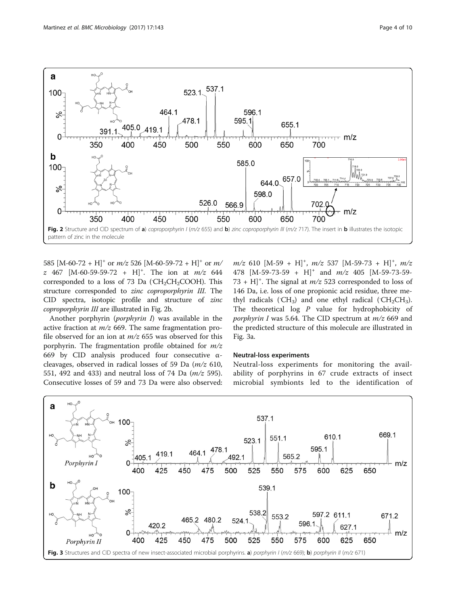<span id="page-3-0"></span>

585  $[M-60-72 + H]^+$  or  $m/z$  526  $[M-60-59-72 + H]^+$  or  $m/z$  $z$  467 [M-60-59-59-72 + H]<sup>+</sup>. The ion at  $m/z$  644 corresponded to a loss of 73 Da ( $CH_2CH_2COOH$ ). This structure corresponded to zinc coproporphyrin III. The CID spectra, isotopic profile and structure of zinc coproporphyrin III are illustrated in Fig. 2b.

Another porphyrin (*porphyrin I*) was available in the active fraction at  $m/z$  669. The same fragmentation profile observed for an ion at  $m/z$  655 was observed for this porphyrin. The fragmentation profile obtained for  $m/z$ 669 by CID analysis produced four consecutive αcleavages, observed in radical losses of 59 Da  $(m/z)$  610, 551, 492 and 433) and neutral loss of 74 Da (m/z 595). Consecutive losses of 59 and 73 Da were also observed:

 $m/z$  610 [M-59 + H]<sup>+</sup>,  $m/z$  537 [M-59-73 + H]<sup>+</sup>,  $m/z$ 478  $[M-59-73-59 + H]$ <sup>+</sup> and  $m/z$  405  $[M-59-73-59-$ 73 + H]<sup>+</sup>. The signal at  $m/z$  523 corresponded to loss of 146 Da, i.e. loss of one propionic acid residue, three methyl radicals ( $CH<sub>3</sub>$ ) and one ethyl radical ( $CH<sub>2</sub>CH<sub>3</sub>$ ). The theoretical log  $P$  value for hydrophobicity of *porphyrin I* was 5.64. The CID spectrum at  $m/z$  669 and the predicted structure of this molecule are illustrated in Fig. 3a.

# Neutral-loss experiments

Neutral-loss experiments for monitoring the availability of porphyrins in 67 crude extracts of insect microbial symbionts led to the identification of

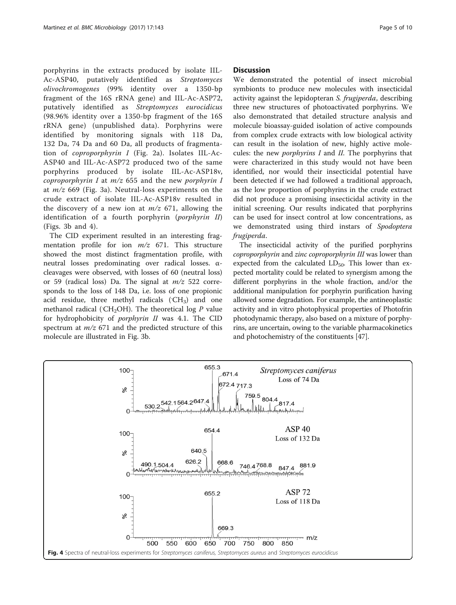porphyrins in the extracts produced by isolate IIL-Ac-ASP40, putatively identified as Streptomyces olivochromogenes (99% identity over a 1350-bp fragment of the 16S rRNA gene) and IIL-Ac-ASP72, putatively identified as Streptomyces eurocidicus (98.96% identity over a 1350-bp fragment of the 16S rRNA gene) (unpublished data). Porphyrins were identified by monitoring signals with 118 Da, 132 Da, 74 Da and 60 Da, all products of fragmentation of coproporphyrin I (Fig. [2a](#page-3-0)). Isolates IIL-Ac-ASP40 and IIL-Ac-ASP72 produced two of the same porphyrins produced by isolate IIL-Ac-ASP18v, coproporphyrin I at  $m/z$  655 and the new porphyrin I at  $m/z$  669 (Fig. [3a](#page-3-0)). Neutral-loss experiments on the crude extract of isolate IIL-Ac-ASP18v resulted in the discovery of a new ion at  $m/z$  671, allowing the identification of a fourth porphyrin (porphyrin II) (Figs. [3b](#page-3-0) and 4).

The CID experiment resulted in an interesting fragmentation profile for ion  $m/z$  671. This structure showed the most distinct fragmentation profile, with neutral losses predominating over radical losses. αcleavages were observed, with losses of 60 (neutral loss) or 59 (radical loss) Da. The signal at  $m/z$  522 corresponds to the loss of 148 Da, i.e. loss of one propionic acid residue, three methyl radicals  $(CH<sub>3</sub>)$  and one methanol radical ( $CH<sub>2</sub>OH$ ). The theoretical log P value for hydrophobicity of porphyrin II was 4.1. The CID spectrum at  $m/z$  671 and the predicted structure of this molecule are illustrated in Fig. [3b](#page-3-0).

# **Discussion**

We demonstrated the potential of insect microbial symbionts to produce new molecules with insecticidal activity against the lepidopteran S. frugiperda, describing three new structures of photoactivated porphyrins. We also demonstrated that detailed structure analysis and molecule bioassay-guided isolation of active compounds from complex crude extracts with low biological activity can result in the isolation of new, highly active molecules: the new porphyrins I and II. The porphyrins that were characterized in this study would not have been identified, nor would their insecticidal potential have been detected if we had followed a traditional approach, as the low proportion of porphyrins in the crude extract did not produce a promising insecticidal activity in the initial screening. Our results indicated that porphyrins can be used for insect control at low concentrations, as we demonstrated using third instars of Spodoptera frugiperda.

The insecticidal activity of the purified porphyrins coproporphyrin and zinc coproporphyrin III was lower than expected from the calculated  $LD_{50}$ . This lower than expected mortality could be related to synergism among the different porphyrins in the whole fraction, and/or the additional manipulation for porphyrin purification having allowed some degradation. For example, the antineoplastic activity and in vitro photophysical properties of Photofrin photodynamic therapy, also based on a mixture of porphyrins, are uncertain, owing to the variable pharmacokinetics and photochemistry of the constituents [[47](#page-9-0)].

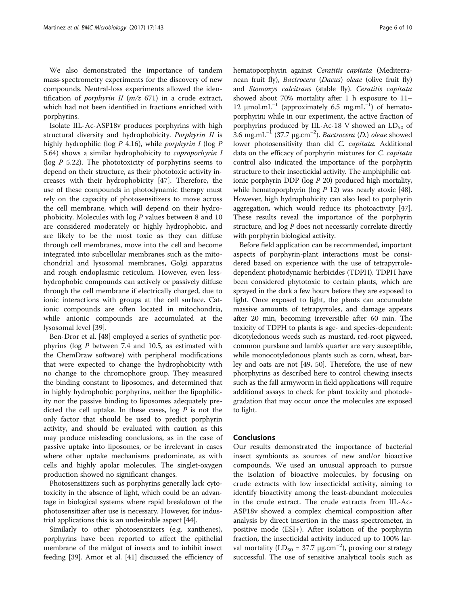We also demonstrated the importance of tandem mass-spectrometry experiments for the discovery of new compounds. Neutral-loss experiments allowed the identification of *porphyrin II* ( $m/z$  671) in a crude extract, which had not been identified in fractions enriched with porphyrins.

Isolate IIL-Ac-ASP18v produces porphyrins with high structural diversity and hydrophobicity. Porphyrin II is highly hydrophilic (log P 4.16), while porphyrin I (log P 5.64) shows a similar hydrophobicity to coproporhyrin I (log  $P$  5.22). The phototoxicity of porphyrins seems to depend on their structure, as their phototoxic activity increases with their hydrophobicity [\[47\]](#page-9-0). Therefore, the use of these compounds in photodynamic therapy must rely on the capacity of photosensitizers to move across the cell membrane, which will depend on their hydrophobicity. Molecules with log P values between 8 and 10 are considered moderately or highly hydrophobic, and are likely to be the most toxic as they can diffuse through cell membranes, move into the cell and become integrated into subcellular membranes such as the mitochondrial and lysosomal membranes, Golgi apparatus and rough endoplasmic reticulum. However, even lesshydrophobic compounds can actively or passively diffuse through the cell membrane if electrically charged, due to ionic interactions with groups at the cell surface. Cationic compounds are often located in mitochondria, while anionic compounds are accumulated at the lysosomal level [\[39\]](#page-8-0).

Ben-Dror et al. [[48\]](#page-9-0) employed a series of synthetic porphyrins (log P between 7.4 and 10.5, as estimated with the ChemDraw software) with peripheral modifications that were expected to change the hydrophobicity with no change to the chromophore group. They measured the binding constant to liposomes, and determined that in highly hydrophobic porphyrins, neither the lipophilicity nor the passive binding to liposomes adequately predicted the cell uptake. In these cases,  $\log P$  is not the only factor that should be used to predict porphyrin activity, and should be evaluated with caution as this may produce misleading conclusions, as in the case of passive uptake into liposomes, or be irrelevant in cases where other uptake mechanisms predominate, as with cells and highly apolar molecules. The singlet-oxygen production showed no significant changes.

Photosensitizers such as porphyrins generally lack cytotoxicity in the absence of light, which could be an advantage in biological systems where rapid breakdown of the photosensitizer after use is necessary. However, for industrial applications this is an undesirable aspect [\[44\]](#page-9-0).

Similarly to other photosensitizers (e.g. xanthenes), porphyrins have been reported to affect the epithelial membrane of the midgut of insects and to inhibit insect feeding [[39](#page-8-0)]. Amor et al. [\[41\]](#page-8-0) discussed the efficiency of hematoporphyrin against Ceratitis capitata (Mediterranean fruit fly), Bactrocera (Dacus) oleae (olive fruit fly) and Stomoxys calcitrans (stable fly). Ceratitis capitata showed about 70% mortality after 1 h exposure to 11– 12 μmol.mL<sup>-1</sup> (approximately 6.5 mg.mL<sup>-1</sup>) of hematoporphyrin; while in our experiment, the active fraction of porphyrins produced by IIL-Ac-18 V showed an  $LD_{50}$  of 3.6 mg.mL $^{-1}$  (37.7 μg.cm<sup>-2</sup>). Bactrocera (D.) oleae showed lower photosensitivity than did C. capitata. Additional data on the efficacy of porphyrin mixtures for C. capitata control also indicated the importance of the porphyrin structure to their insecticidal activity. The amphiphilic cationic porphyrin DDP (log P 20) produced high mortality, while hematoporphyrin (log  $P$  12) was nearly atoxic [[48](#page-9-0)]. However, high hydrophobicity can also lead to porphyrin aggregation, which would reduce its photoactivity [[47](#page-9-0)]. These results reveal the importance of the porphyrin structure, and  $log P$  does not necessarily correlate directly with porphyrin biological activity.

Before field application can be recommended, important aspects of porphyrin-plant interactions must be considered based on experience with the use of tetrapyrroledependent photodynamic herbicides (TDPH). TDPH have been considered phytotoxic to certain plants, which are sprayed in the dark a few hours before they are exposed to light. Once exposed to light, the plants can accumulate massive amounts of tetrapyrroles, and damage appears after 20 min, becoming irreversible after 60 min. The toxicity of TDPH to plants is age- and species-dependent: dicotyledonous weeds such as mustard, red-root pigweed, common purslane and lamb's quarter are very susceptible, while monocotyledonous plants such as corn, wheat, barley and oats are not [[49, 50](#page-9-0)]. Therefore, the use of new phorphyrins as described here to control chewing insects such as the fall armyworm in field applications will require additional assays to check for plant toxicity and photodegradation that may occur once the molecules are exposed to light.

# Conclusions

Our results demonstrated the importance of bacterial insect symbionts as sources of new and/or bioactive compounds. We used an unusual approach to pursue the isolation of bioactive molecules, by focusing on crude extracts with low insecticidal activity, aiming to identify bioactivity among the least-abundant molecules in the crude extract. The crude extracts from IIL-Ac-ASP18v showed a complex chemical composition after analysis by direct insertion in the mass spectrometer, in positive mode (ESI+). After isolation of the porphyrin fraction, the insecticidal activity induced up to 100% larval mortality ( $LD_{50} = 37.7 \mu g.cm^{-2}$ ), proving our strategy successful. The use of sensitive analytical tools such as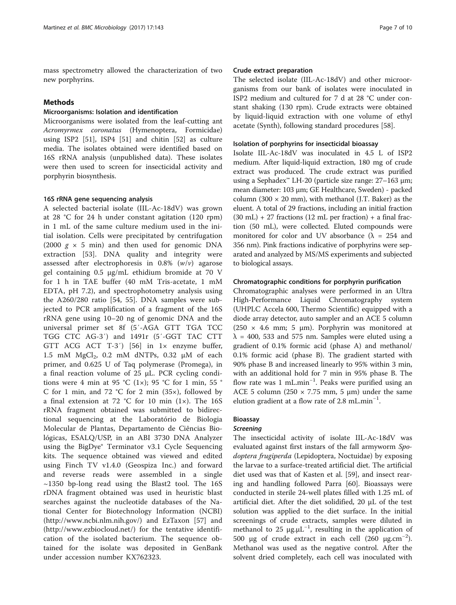mass spectrometry allowed the characterization of two new porphyrins.

# Methods

# Microorganisms: Isolation and identification

Microorganisms were isolated from the leaf-cutting ant Acromyrmex coronatus (Hymenoptera, Formicidae) using ISP2 [\[51\]](#page-9-0), ISP4 [[51\]](#page-9-0) and chitin [[52](#page-9-0)] as culture media. The isolates obtained were identified based on 16S rRNA analysis (unpublished data). These isolates were then used to screen for insecticidal activity and porphyrin biosynthesis.

# 16S rRNA gene sequencing analysis

A selected bacterial isolate (IIL-Ac-18dV) was grown at 28 °C for 24 h under constant agitation (120 rpm) in 1 mL of the same culture medium used in the initial isolation. Cells were precipitated by centrifugation (2000  $g \times 5$  min) and then used for genomic DNA extraction [[53\]](#page-9-0). DNA quality and integrity were assessed after electrophoresis in  $0.8\%$  (w/v) agarose gel containing 0.5 μg/mL ethidium bromide at 70 V for 1 h in TAE buffer (40 mM Tris-acetate, 1 mM EDTA, pH 7.2), and spectrophotometry analysis using the A260/280 ratio [[54](#page-9-0), [55\]](#page-9-0). DNA samples were subjected to PCR amplification of a fragment of the 16S rRNA gene using 10–20 ng of genomic DNA and the universal primer set 8f (5′-AGA GTT TGA TCC TGG CTC AG-3′) and 1491r (5′-GGT TAC CTT GTT ACG ACT T-3′) [[56](#page-9-0)] in 1× enzyme buffer, 1.5 mM  $MgCl<sub>2</sub>$ , 0.2 mM dNTPs, 0.32  $\mu$ M of each primer, and 0.625 U of Taq polymerase (Promega), in a final reaction volume of 25 μL. PCR cycling conditions were 4 min at 95 °C (1×); 95 °C for 1 min, 55 ° C for 1 min, and 72 °C for 2 min (35×), followed by a final extension at 72 °C for 10 min (1×). The 16S rRNA fragment obtained was submitted to bidirectional sequencing at the Laboratório de Biologia Molecular de Plantas, Departamento de Ciências Biológicas, ESALQ/USP, in an ABI 3730 DNA Analyzer using the BigDye® Terminator v3.1 Cycle Sequencing kits. The sequence obtained was viewed and edited using Finch TV v1.4.0 (Geospiza Inc.) and forward and reverse reads were assembled in a single  $\sim$ 1350 bp-long read using the Blast2 tool. The 16S rDNA fragment obtained was used in heuristic blast searches against the nucleotide databases of the National Center for Biotechnology Information (NCBI) ([http://www.ncbi.nlm.nih.gov/](http://www.ncbi.nlm.nih.gov)) and EzTaxon [[57\]](#page-9-0) and (<http://www.ezbiocloud.net/>) for the tentative identification of the isolated bacterium. The sequence obtained for the isolate was deposited in GenBank under accession number KX762323.

# Crude extract preparation

The selected isolate (IIL-Ac-18dV) and other microorganisms from our bank of isolates were inoculated in ISP2 medium and cultured for 7 d at 28 °C under constant shaking (130 rpm). Crude extracts were obtained by liquid-liquid extraction with one volume of ethyl acetate (Synth), following standard procedures [[58\]](#page-9-0).

# Isolation of porphyrins for insecticidal bioassay

Isolate IIL-Ac-18dV was inoculated in 4.5 L of ISP2 medium. After liquid-liquid extraction, 180 mg of crude extract was produced. The crude extract was purified using a Sephadex™ LH-20 (particle size range: 27–163 μm; mean diameter: 103 μm; GE Healthcare, Sweden) - packed column (300  $\times$  20 mm), with methanol (J.T. Baker) as the eluent. A total of 29 fractions, including an initial fraction  $(30 \text{ mL}) + 27$  fractions  $(12 \text{ mL per fraction}) + a$  final fraction (50 mL), were collected. Eluted compounds were monitored for color and UV absorbance ( $\lambda$  = 254 and 356 nm). Pink fractions indicative of porphyrins were separated and analyzed by MS/MS experiments and subjected to biological assays.

# Chromatographic conditions for porphyrin purification

Chromatographic analyses were performed in an Ultra High-Performance Liquid Chromatography system (UHPLC Accela 600, Thermo Scientific) equipped with a diode array detector, auto sampler and an ACE 5 column (250  $\times$  4.6 mm; 5 µm). Porphyrin was monitored at  $\lambda$  = 400, 533 and 575 nm. Samples were eluted using a gradient of 0.1% formic acid (phase A) and methanol/ 0.1% formic acid (phase B). The gradient started with 90% phase B and increased linearly to 95% within 3 min, with an additional hold for 7 min in 95% phase B. The flow rate was 1 mL.min−<sup>1</sup> . Peaks were purified using an ACE 5 column (250  $\times$  7.75 mm, 5 µm) under the same elution gradient at a flow rate of 2.8 mL.min<sup>-1</sup>.

# Bioassay

# **Screening**

The insecticidal activity of isolate IIL-Ac-18dV was evaluated against first instars of the fall armyworm Spodoptera frugiperda (Lepidoptera, Noctuidae) by exposing the larvae to a surface-treated artificial diet. The artificial diet used was that of Kasten et al. [\[59](#page-9-0)], and insect rearing and handling followed Parra [[60\]](#page-9-0). Bioassays were conducted in sterile 24-well plates filled with 1.25 mL of artificial diet. After the diet solidified, 20 μL of the test solution was applied to the diet surface. In the initial screenings of crude extracts, samples were diluted in methanol to 25  $\mu g$ . $\mu L^{-1}$ , resulting in the application of 500 μg of crude extract in each cell (260 μg.cm−<sup>2</sup> ). Methanol was used as the negative control. After the solvent dried completely, each cell was inoculated with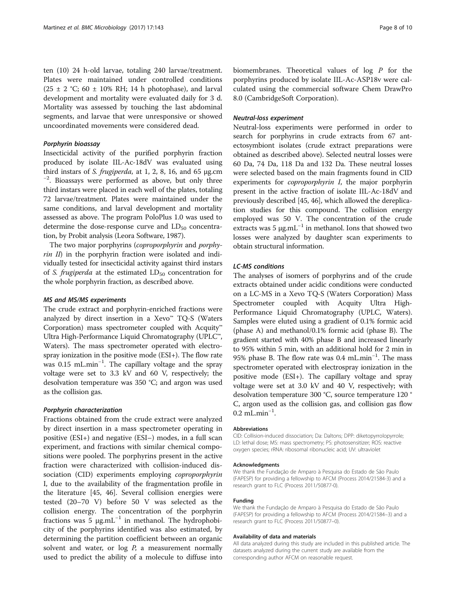ten (10) 24 h-old larvae, totaling 240 larvae/treatment. Plates were maintained under controlled conditions  $(25 \pm 2 \degree C; 60 \pm 10\% \text{ RH}; 14 \text{ h photophase})$ , and larval development and mortality were evaluated daily for 3 d. Mortality was assessed by touching the last abdominal segments, and larvae that were unresponsive or showed uncoordinated movements were considered dead.

# Porphyrin bioassay

Insecticidal activity of the purified porphyrin fraction produced by isolate IIL-Ac-18dV was evaluated using third instars of S. frugiperda, at 1, 2, 8, 16, and 65 µg.cm  $-2$ . Bioassays were performed as above, but only three third instars were placed in each well of the plates, totaling 72 larvae/treatment. Plates were maintained under the same conditions, and larval development and mortality assessed as above. The program PoloPlus 1.0 was used to determine the dose-response curve and  $LD_{50}$  concentration, by Probit analysis (Leora Software, 1987).

The two major porphyrins (coproporphyrin and porphy $rin$  II) in the porphyrin fraction were isolated and individually tested for insecticidal activity against third instars of S. frugiperda at the estimated  $LD_{50}$  concentration for the whole porphyrin fraction, as described above.

# MS and MS/MS experiments

The crude extract and porphyrin-enriched fractions were analyzed by direct insertion in a Xevo™ TQ-S (Waters Corporation) mass spectrometer coupled with Acquity™ Ultra High-Performance Liquid Chromatography (UPLC™, Waters). The mass spectrometer operated with electrospray ionization in the positive mode (ESI+). The flow rate was 0.15 mL.min−<sup>1</sup> . The capillary voltage and the spray voltage were set to 3.3 kV and 60 V, respectively; the desolvation temperature was 350 °C; and argon was used as the collision gas.

#### Porphyrin characterization

Fractions obtained from the crude extract were analyzed by direct insertion in a mass spectrometer operating in positive (ESI+) and negative (ESI–) modes, in a full scan experiment, and fractions with similar chemical compositions were pooled. The porphyrins present in the active fraction were characterized with collision-induced dissociation (CID) experiments employing *coproporphyrin* I, due to the availability of the fragmentation profile in the literature [[45, 46\]](#page-9-0). Several collision energies were tested (20–70 V) before 50 V was selected as the collision energy. The concentration of the porphyrin fractions was  $\frac{5}{9}$  µg.mL<sup>-1</sup> in methanol. The hydrophobicity of the porphyrins identified was also estimated, by determining the partition coefficient between an organic solvent and water, or  $log P$ , a measurement normally used to predict the ability of a molecule to diffuse into

biomembranes. Theoretical values of  $log P$  for the porphyrins produced by isolate IIL-Ac-ASP18v were calculated using the commercial software Chem DrawPro 8.0 (CambridgeSoft Corporation).

# Neutral-loss experiment

Neutral-loss experiments were performed in order to search for porphyrins in crude extracts from 67 antectosymbiont isolates (crude extract preparations were obtained as described above). Selected neutral losses were 60 Da, 74 Da, 118 Da and 132 Da. These neutral losses were selected based on the main fragments found in CID experiments for coproporphyrin I, the major porphyrin present in the active fraction of isolate IIL-Ac-18dV and previously described [[45, 46\]](#page-9-0), which allowed the dereplication studies for this compound. The collision energy employed was 50 V. The concentration of the crude extracts was 5  $\mu$ g.mL<sup>-1</sup> in methanol. Ions that showed two losses were analyzed by daughter scan experiments to obtain structural information.

# LC-MS conditions

The analyses of isomers of porphyrins and of the crude extracts obtained under acidic conditions were conducted on a LC-MS in a Xevo TQ-S (Waters Corporation) Mass Spectrometer coupled with Acquity Ultra High-Performance Liquid Chromatography (UPLC, Waters). Samples were eluted using a gradient of 0.1% formic acid (phase A) and methanol/0.1% formic acid (phase B). The gradient started with 40% phase B and increased linearly to 95% within 5 min, with an additional hold for 2 min in 95% phase B. The flow rate was 0.4 mL.min<sup>-1</sup>. The mass spectrometer operated with electrospray ionization in the positive mode (ESI+). The capillary voltage and spray voltage were set at 3.0 kV and 40 V, respectively; with desolvation temperature 300 °C, source temperature 120 ° C, argon used as the collision gas, and collision gas flow 0.2 mL.min<sup>-1</sup>.

#### Abbreviations

CID: Collision-induced dissociation; Da: Daltons; DPP: diketopyrrolopyrrole; LD: lethal dose; MS: mass spectrometry; PS: photosensitizer; ROS: reactive oxygen species; rRNA: ribosomal ribonucleic acid; UV: ultraviolet

#### Acknowledgments

We thank the Fundação de Amparo à Pesquisa do Estado de São Paulo (FAPESP) for providing a fellowship to AFCM (Process 2014/21584-3) and a research grant to FLC (Process 2011/50877-0).

#### Funding

We thank the Fundação de Amparo à Pesquisa do Estado de São Paulo (FAPESP) for providing a fellowship to AFCM (Process 2014/21584–3) and a research grant to FLC (Process 2011/50877–0).

#### Availability of data and materials

All data analyzed during this study are included in this published article. The datasets analyzed during the current study are available from the corresponding author AFCM on reasonable request.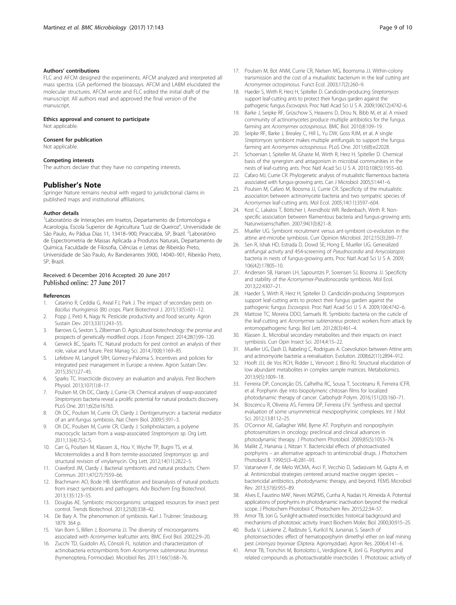# <span id="page-8-0"></span>Authors' contributions

FLC and AFCM designed the experiments. AFCM analyzed and interpreted all mass spectra. LGA performed the bioassays. AFCM and LABM elucidated the molecular structures. AFCM wrote and FLC edited the initial draft of the manuscript. All authors read and approved the final version of the manuscript.

#### Ethics approval and consent to participate

Not applicable.

#### Consent for publication

Not applicable.

#### Competing interests

The authors declare that they have no competing interests.

# Publisher's Note

Springer Nature remains neutral with regard to jurisdictional claims in published maps and institutional affiliations.

#### Author details

<sup>1</sup> Laboratório de Interações em Insetos, Departamento de Entomologia e Acarologia, Escola Superior de Agricultura "Luiz de Queiroz", Universidade de São Paulo, Av Pádua Dias 11, 13418-900, Piracicaba, SP, Brazil. <sup>2</sup>Laboratório de Espectrometria de Massas Aplicada a Produtos Naturais, Departamento de Química, Faculdade de Filosofia, Ciências e Letras de Ribeirão Preto, Universidade de São Paulo, Av Bandeirantes 3900, 14040–901, Ribeirão Preto, SP, Brazil.

# Received: 6 December 2016 Accepted: 20 June 2017 Published online: 27 June 2017

#### References

- 1. Catarino R, Ceddia G, Areal FJ, Park J. The impact of secondary pests on Bacillus thuringiensis (Bt) crops. Plant Biotechnol J. 2015;13(5):601–12.
- 2. Popp J, Petö K, Nagy N. Pesticide productivity and food security. Agron Sustain Dev. 2013;33(1):243–55.
- 3. Barrows G, Sexton S, Zilberman D. Agricultural biotechnology: the promise and prospects of genetically modified crops. J Econ Perspect. 2014;28(1):99–120.
- 4. Gerwick BC, Sparks TC. Natural products for pest control: an analysis of their role, value and future. Pest Manag Sci. 2014;70(8):1169–85.
- 5. Lefebvre M, Langrell SRH, Gomez-y-Paloma S. Incentives and policies for integrated pest management in Europe: a review. Agron Sustain Dev. 2015;35(1):27–45.
- 6. Sparks TC. Insecticide discovery: an evaluation and analysis. Pest Biochem Physiol. 2013;107(1):8–17.
- 7. Poulsen M, Oh DC, Clardy J, Currie CR. Chemical analyses of wasp-associated Streptomyces bacteria reveal a prolific potential for natural products discovery. PLoS One. 2011;6(2):e16763.
- 8. Oh DC, Poulsen M, Currie CR, Clardy J. Dentigerumycin: a bacterial mediator of an ant-fungus symbiosis. Nat Chem Biol. 2009;5:391–3.
- 9. Oh DC, Poulsen M, Currie CR, Clardy J. Sceliphrolactam, a polyene macrocyclic lactam from a wasp-associated Streptomyces sp. Org Lett. 2011;13(4):752–5.
- 10. Carr G, Poulsen M, Klassen JL, Hou Y, Wyche TP, Bugni TS, et al. Microtermolides a and B from termite-associated Streptomyces sp. and structural revision of vinylamycin. Org Lett. 2012;14(11):2822–5.
- 11. Crawford JM, Clardy J. Bacterial symbionts and natural products. Chem Commun. 2011;47(27):7559–66.
- 12. Brachmann AO, Bode HB. Identification and bioanalysis of natural products from insect symbionts and pathogens. Adv Biochem Eng Biotechnol. 2013;135:123–55.
- 13. Douglas AE. Symbiotic microorganisms: untapped resources for insect pest control. Trends Biotechnol. 2013;25(8):338–42.
- 14. De Bary A. The phenomenon of symbiosis. Karl J. Trubner: Strasbourg; 1879. 364 p.
- 15. Van Born S, Billen J, Boomsma JJ. The diversity of microorganisms associated with Acromyrmex leafcutter ants. BMC Evol Biol. 2002;2:9–20.
- 16. Zucchi TD, Guidolin AS, Cônsoli FL. Isolation and characterization of actinobacteria ectosymbionts from Acromyrmex subterraneus brunneus (hymenoptera, Formicidae). Microbiol Res. 2011;166(1):68–76.
- 17. Poulsen M, Bot ANM, Currie CR, Nielsen MG, Boomsma JJ. Within-colony transmission and the cost of a mutualistic bacterium in the leaf cutting ant Acromyrmex octospinosus. Funct Ecol. 2003;17(2):260–9.
- 18. Haeder S, Wirth R, Herz H, Spiteller D. Candicidin-producing Streptomyces support leaf-cutting ants to protect their fungus garden against the pathogenic fungus Escovopsis. Proc Natl Acad Sci U S A. 2009;106(12):4742–6.
- 19. Barke J, Seipke RF, Grüschow S, Heavens D, Drou N, Bibb M, et al. A mixed community of actinomycetes produce multiple antibiotics for the fungus farming ant Acromyrmex octospinosus. BMC Biol. 2010;8:109–19.
- 20. Seipke RF, Barke J, Brealey C, Hill L, Yu DW, Goss RJM, et al. A single Streptomyces symbiont makes multiple antifungals to support the fungus farming ant Acromyrmex octospinosus. PLoS One. 2011;6(8):e22028.
- 21. Schoenian I, Spiteller M, Ghaste M, Wirth R, Herz H, Spiteller D. Chemical basis of the synergism and antagonism in microbial communities in the nests of leaf-cutting ants. Proc Natl Acad Sci U S A. 2010;108(5):1955–60.
- 22. Cafaro MJ, Currie CR. Phylogenetic analysis of mutualistic filamentous bacteria associated with fungus-growing ants. Can J Microbiol. 2005;51:441–6.
- 23. Poulsen M, Cafaro M, Boosma JJ, Currie CR. Specificity of the mutualistic association between actinomycete bacteria and two sympatric species of Acromyrmex leaf-cutting ants. Mol Ecol. 2005;14(11):3597–604.
- 24. Kost C, Lakatos T, Böttcher I, Arendholz WR. Redenbach, Wirth R. Nonspecific association between filamentous bacteria and fungus-growing ants. Naturwissenschaften. 2007;94(10):821–8.
- 25. Mueller UG. Symbiont recruitment versus ant-symbiont co-evolution in the attine ant-microbe symbiosis. Curr Opinion Microbiol. 2012;15(3):269–77.
- 26. Sen R, Ishak HD, Estrada D, Dowd SE, Hong E, Mueller UG. Generalized antifungal activity and 454-screening of Pseudnocardia and Amycolatopsis bacteria in nests of fungus-growing ants. Proc Natl Acad Sci U S A. 2009; 106(42):17805–10.
- 27. Andersen SB, Hansen LH, Sapountzis P, Sorensen SJ, Boosma JJ. Specificity and stability of the Acromyrmex-Pseudonocardia symbiosis. Mol Ecol. 2013;22:4307–21.
- 28. Haeder S, Wirth R, Herz H, Spiteller D. Candicidin-producing Streptomyces support leaf-cutting ants to protect their fungus garden against the pathogenic fungus Escovopsis. Proc Natl Acad Sci U S A. 2009;106:4742–6.
- 29. Mattose TC, Moreira DDO, Samuels RI. Symbiotic bacteria on the cuticle of the leaf-cutting ant Acromyrmex subterraneus protect workers from attack by entomopathogenic fungi. Biol Lett. 2012;8(3):461–4.
- 30. Klassen JL. Microbial secondary metabolites and their impacts on insect symbiosis. Curr Opin Insect Sci. 2014;4:15–22.
- 31. Mueller UG, Dash D, Rabeling C, Rodrigues A. Coevolution between Attine ants and actinomycete bacteria: a reevaluation. Evolution. 2008;62(11):2894–912.
- 32. Hooft JJJ, de Vos RCH, Ridder L, Vervoort J, Bino RJ. Structural elucidation of low abundant metabolites in complex sample matrices. Metabolomics. 2013;9(5):1009–18.
- 33. Ferreira DP, Conceição DS, Calhelha RC, Sousa T, Socoteanu R, Ferreira ICFR, et al. Porphyrin dye into biopolymeric chitosan films for localized photodynamic therapy of cancer. Carbohydr Polym. 2016;151(20):160–71.
- 34. Boscencu R, Oliveira AS, Ferreira DP, Ferreira LFV. Synthesis and spectral evaluation of some unsymmetrical mesoporphyrinic complexes. Int J Mol Sci. 2012;13:8112–25.
- 35. O'Connor AE, Gallagher WM, Byrne AT. Porphyrin and nonporphyrin photosensitizers in oncology: preclinical and clinical advances in photodynamic therapy. J Photochem Photobiol. 2009;85(5):1053–74.
- 36. Malikt Z, Hanania J, Nitzan Y. Bactericidal effects of photoactivated porphyrins – an alternative approach to antimicrobial drugs. J Photochem Photobiol B. 1990;5(3–4):281–93.
- 37. Vatansever F, de Melo WCMA, Avci P, Vecchio D, Sadasivam M, Gupta A, et al. Antimicrobial strategies centered around reactive oxygen species – bactericidal antibiotics, photodynamic therapy, and beyond. FEMS Microbiol Rev. 2013;37(6):955–89.
- 38. Alves E, Faustino MAF, Neves MGPMS, Cunha A, Nadais H, Almeida A. Potential applications of porphyrins in photodynamic inactivation beyond the medical scope. J Photochem Photobiol C Photochem Rev. 2015;22:34–57.
- 39. Amor TB, Jori G. Sunlight-activated insecticides: historical background and mechanisms of phototoxic activity. Insect Biochem Molec Biol. 2000;30:915–25.
- 40. Buda V, Luksiene Z, Radziute S, Kurilcil N, Jursenas S. Search of photoinsecticides: effect of hematoporphyrin dimethyl ether on leaf mining pest Liriomyza bryoniae (Diptera: Agromyzidae). Agron Res. 2006;4:141–6.
- 41. Amor TB, Tronchin M, Bortolotto L, Verdiglione R, Joril G. Porphyrins and related compounds as photoactivatable insecticides 1. Phototoxic activity of